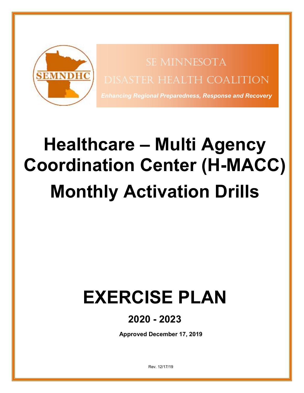

SE Minnesota Disaster Health Coalition

*Enhancing Regional Preparedness, Response and Recovery*

# **Healthcare – Multi Agency Coordination Center (H-MACC) Monthly Activation Drills**

# **EXERCISE PLAN**

# **2020 - 2023**

**Approved December 17, 2019**

Rev. 12/17/19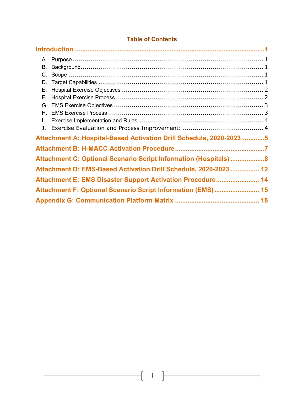| В. |                                                                    |  |
|----|--------------------------------------------------------------------|--|
|    |                                                                    |  |
| D. |                                                                    |  |
| Е. |                                                                    |  |
| F. |                                                                    |  |
|    |                                                                    |  |
|    |                                                                    |  |
| L. |                                                                    |  |
|    |                                                                    |  |
|    | Attachment A: Hospital-Based Activation Drill Schedule, 2020-20235 |  |
|    |                                                                    |  |
|    | Attachment C: Optional Scenario Script Information (Hospitals) 8   |  |
|    | Attachment D: EMS-Based Activation Drill Schedule, 2020-2023  12   |  |
|    | Attachment E: EMS Disaster Support Activation Procedure 14         |  |
|    | Attachment F: Optional Scenario Script Information (EMS)  15       |  |
|    |                                                                    |  |

# **Table of Contents**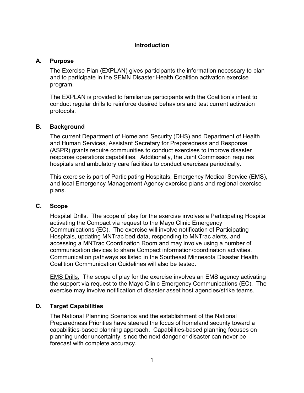#### **Introduction**

#### <span id="page-2-1"></span><span id="page-2-0"></span>**A. Purpose**

The Exercise Plan (EXPLAN) gives participants the information necessary to plan and to participate in the SEMN Disaster Health Coalition activation exercise program.

The EXPLAN is provided to familiarize participants with the Coalition's intent to conduct regular drills to reinforce desired behaviors and test current activation protocols.

#### <span id="page-2-2"></span>**B. Background**

The current Department of Homeland Security (DHS) and Department of Health and Human Services, Assistant Secretary for Preparedness and Response (ASPR) grants require communities to conduct exercises to improve disaster response operations capabilities. Additionally, the Joint Commission requires hospitals and ambulatory care facilities to conduct exercises periodically.

This exercise is part of Participating Hospitals, Emergency Medical Service (EMS), and local Emergency Management Agency exercise plans and regional exercise plans.

#### <span id="page-2-3"></span>**C. Scope**

Hospital Drills. The scope of play for the exercise involves a Participating Hospital activating the Compact via request to the Mayo Clinic Emergency Communications (EC). The exercise will involve notification of Participating Hospitals, updating MNTrac bed data, responding to MNTrac alerts, and accessing a MNTrac Coordination Room and may involve using a number of communication devices to share Compact information/coordination activities. Communication pathways as listed in the Southeast Minnesota Disaster Health Coalition Communication Guidelines will also be tested.

EMS Drills. The scope of play for the exercise involves an EMS agency activating the support via request to the Mayo Clinic Emergency Communications (EC). The exercise may involve notification of disaster asset host agencies/strike teams.

#### <span id="page-2-4"></span>**D. Target Capabilities**

The National Planning Scenarios and the establishment of the National Preparedness Priorities have steered the focus of homeland security toward a capabilities-based planning approach. Capabilities-based planning focuses on planning under uncertainty, since the next danger or disaster can never be forecast with complete accuracy.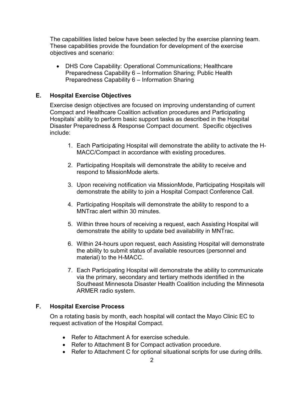The capabilities listed below have been selected by the exercise planning team. These capabilities provide the foundation for development of the exercise objectives and scenario:

• DHS Core Capability: Operational Communications; Healthcare Preparedness Capability 6 – Information Sharing; Public Health Preparedness Capability 6 – Information Sharing

#### <span id="page-3-0"></span>**E. Hospital Exercise Objectives**

Exercise design objectives are focused on improving understanding of current Compact and Healthcare Coalition activation procedures and Participating Hospitals' ability to perform basic support tasks as described in the Hospital Disaster Preparedness & Response Compact document. Specific objectives include:

- 1. Each Participating Hospital will demonstrate the ability to activate the H-MACC/Compact in accordance with existing procedures.
- 2. Participating Hospitals will demonstrate the ability to receive and respond to MissionMode alerts.
- 3. Upon receiving notification via MissionMode, Participating Hospitals will demonstrate the ability to join a Hospital Compact Conference Call.
- 4. Participating Hospitals will demonstrate the ability to respond to a MNTrac alert within 30 minutes.
- 5. Within three hours of receiving a request, each Assisting Hospital will demonstrate the ability to update bed availability in MNTrac.
- 6. Within 24-hours upon request, each Assisting Hospital will demonstrate the ability to submit status of available resources (personnel and material) to the H-MACC.
- 7. Each Participating Hospital will demonstrate the ability to communicate via the primary, secondary and tertiary methods identified in the Southeast Minnesota Disaster Health Coalition including the Minnesota ARMER radio system.

#### <span id="page-3-1"></span>**F. Hospital Exercise Process**

On a rotating basis by month, each hospital will contact the Mayo Clinic EC to request activation of the Hospital Compact.

- Refer to Attachment A for exercise schedule.
- Refer to Attachment B for Compact activation procedure.
- Refer to Attachment C for optional situational scripts for use during drills.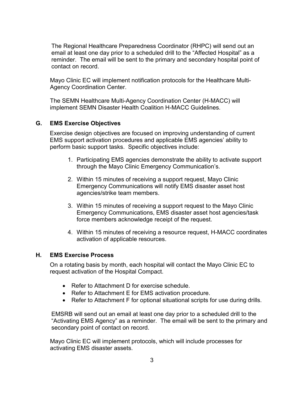The Regional Healthcare Preparedness Coordinator (RHPC) will send out an email at least one day prior to a scheduled drill to the "Affected Hospital" as a reminder. The email will be sent to the primary and secondary hospital point of contact on record.

Mayo Clinic EC will implement notification protocols for the Healthcare Multi-Agency Coordination Center.

The SEMN Healthcare Multi-Agency Coordination Center (H-MACC) will implement SEMN Disaster Health Coalition H-MACC Guidelines.

#### <span id="page-4-0"></span>**G. EMS Exercise Objectives**

Exercise design objectives are focused on improving understanding of current EMS support activation procedures and applicable EMS agencies' ability to perform basic support tasks. Specific objectives include:

- 1. Participating EMS agencies demonstrate the ability to activate support through the Mayo Clinic Emergency Communication's.
- 2. Within 15 minutes of receiving a support request, Mayo Clinic Emergency Communications will notify EMS disaster asset host agencies/strike team members.
- 3. Within 15 minutes of receiving a support request to the Mayo Clinic Emergency Communications, EMS disaster asset host agencies/task force members acknowledge receipt of the request.
- 4. Within 15 minutes of receiving a resource request, H-MACC coordinates activation of applicable resources.

#### <span id="page-4-1"></span>**H. EMS Exercise Process**

On a rotating basis by month, each hospital will contact the Mayo Clinic EC to request activation of the Hospital Compact.

- Refer to Attachment D for exercise schedule.
- Refer to Attachment E for EMS activation procedure.
- Refer to Attachment F for optional situational scripts for use during drills.

EMSRB will send out an email at least one day prior to a scheduled drill to the "Activating EMS Agency" as a reminder. The email will be sent to the primary and secondary point of contact on record.

Mayo Clinic EC will implement protocols, which will include processes for activating EMS disaster assets.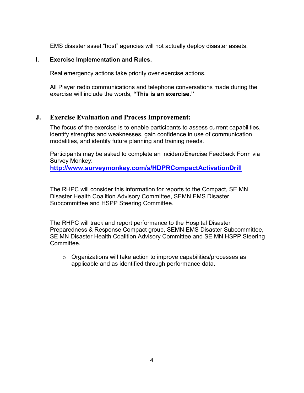EMS disaster asset "host" agencies will not actually deploy disaster assets.

#### <span id="page-5-0"></span>**I. Exercise Implementation and Rules.**

Real emergency actions take priority over exercise actions.

All Player radio communications and telephone conversations made during the exercise will include the words, **"This is an exercise."**

#### <span id="page-5-1"></span>**J. Exercise Evaluation and Process Improvement:**

The focus of the exercise is to enable participants to assess current capabilities, identify strengths and weaknesses, gain confidence in use of communication modalities, and identify future planning and training needs.

Participants may be asked to complete an incident/Exercise Feedback Form via Survey Monkey:

**<http://www.surveymonkey.com/s/HDPRCompactActivationDrill>**

The RHPC will consider this information for reports to the Compact, SE MN Disaster Health Coalition Advisory Committee, SEMN EMS Disaster Subcommittee and HSPP Steering Committee.

The RHPC will track and report performance to the Hospital Disaster Preparedness & Response Compact group, SEMN EMS Disaster Subcommittee, SE MN Disaster Health Coalition Advisory Committee and SE MN HSPP Steering Committee.

o Organizations will take action to improve capabilities/processes as applicable and as identified through performance data.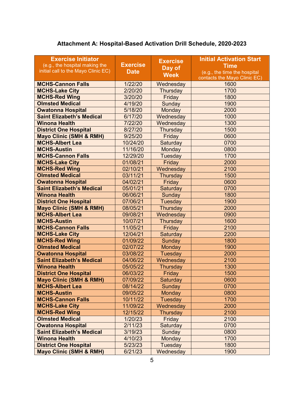# **Attachment A: Hospital-Based Activation Drill Schedule, 2020-2023**

<span id="page-6-0"></span>

| <b>Exercise Initiator</b><br>(e.g., the hospital making the<br>initial call to the Mayo Clinic EC) | <b>Exercise</b><br><b>Date</b> | <b>Exercise</b><br>Day of<br><b>Week</b> | <b>Initial Activation Start</b><br><b>Time</b><br>(e.g., the time the hospital<br>contacts the Mayo Clinic EC) |  |  |
|----------------------------------------------------------------------------------------------------|--------------------------------|------------------------------------------|----------------------------------------------------------------------------------------------------------------|--|--|
|                                                                                                    |                                |                                          |                                                                                                                |  |  |
| <b>MCHS-Cannon Falls</b>                                                                           | 1/22/20                        | Wednesday                                | 1600                                                                                                           |  |  |
| <b>MCHS-Lake City</b>                                                                              | 2/20/20                        | Thursday                                 | 1700                                                                                                           |  |  |
| <b>MCHS-Red Wing</b>                                                                               | 3/20/20                        | Friday                                   | 1800                                                                                                           |  |  |
| <b>Olmsted Medical</b>                                                                             | 4/19/20                        | Sunday                                   | 1900                                                                                                           |  |  |
| <b>Owatonna Hospital</b>                                                                           | 5/18/20                        | <b>Monday</b>                            | 2000                                                                                                           |  |  |
| <b>Saint Elizabeth's Medical</b>                                                                   | 6/17/20                        | Wednesday                                | 1000                                                                                                           |  |  |
| <b>Winona Health</b>                                                                               | 7/22/20                        | Wednesday                                | 1300                                                                                                           |  |  |
| <b>District One Hospital</b>                                                                       | 8/27/20                        | Thursday                                 | 1500                                                                                                           |  |  |
| <b>Mayo Clinic (SMH &amp; RMH)</b>                                                                 | 9/25/20                        | Friday                                   | 0600                                                                                                           |  |  |
| <b>MCHS-Albert Lea</b>                                                                             | 10/24/20                       | Saturday                                 | 0700                                                                                                           |  |  |
| <b>MCHS-Austin</b>                                                                                 | 11/16/20                       | Monday                                   | 0800                                                                                                           |  |  |
| <b>MCHS-Cannon Falls</b>                                                                           | 12/29/20                       | <b>Tuesday</b>                           | 1700                                                                                                           |  |  |
| <b>MCHS-Lake City</b>                                                                              | 01/08/21                       | Friday                                   | 2000                                                                                                           |  |  |
| <b>MCHS-Red Wing</b>                                                                               | 02/10/21                       | Wednesday                                | 2100                                                                                                           |  |  |
| <b>Olmsted Medical</b>                                                                             | 03/11/21                       | Thursday                                 | 1500                                                                                                           |  |  |
| <b>Owatonna Hospital</b>                                                                           | 04/02/21                       | Friday                                   | 0600                                                                                                           |  |  |
| <b>Saint Elizabeth's Medical</b>                                                                   | 05/01/21                       | Saturday                                 | 0700                                                                                                           |  |  |
| <b>Winona Health</b>                                                                               | 06/06/21<br>Sunday             |                                          | 1800                                                                                                           |  |  |
| <b>District One Hospital</b>                                                                       | 07/06/21                       | Tuesday                                  | 1900                                                                                                           |  |  |
| <b>Mayo Clinic (SMH &amp; RMH)</b>                                                                 | 08/05/21                       | <b>Thursday</b>                          | 2000                                                                                                           |  |  |
| <b>MCHS-Albert Lea</b>                                                                             | 09/08/21                       | Wednesday                                | 0900                                                                                                           |  |  |
| <b>MCHS-Austin</b>                                                                                 | 10/07/21                       | <b>Thursday</b>                          | 1600                                                                                                           |  |  |
| <b>MCHS-Cannon Falls</b>                                                                           | 11/05/21                       | Friday                                   | 2100                                                                                                           |  |  |
| <b>MCHS-Lake City</b>                                                                              | 12/04/21                       | Saturday                                 | 2200                                                                                                           |  |  |
| <b>MCHS-Red Wing</b>                                                                               | 01/09/22                       | Sunday                                   | 1800                                                                                                           |  |  |
| <b>Olmsted Medical</b>                                                                             | 02/07/22                       | Monday                                   | 1900                                                                                                           |  |  |
| <b>Owatonna Hospital</b>                                                                           | 03/08/22                       | <b>Tuesday</b>                           | 2000                                                                                                           |  |  |
| <b>Saint Elizabeth's Medical</b>                                                                   | 04/06/22                       | Wednesday                                | 2100                                                                                                           |  |  |
| <b>Winona Health</b>                                                                               | 05/05/22                       | Thursday                                 | 1300                                                                                                           |  |  |
| <b>District One Hospital</b>                                                                       | 06/03/22                       | Friday                                   | 1500                                                                                                           |  |  |
| <b>Mayo Clinic (SMH &amp; RMH)</b>                                                                 | 07/09/22                       | Saturday                                 | 0600                                                                                                           |  |  |
| <b>MCHS-Albert Lea</b>                                                                             | 08/14/22                       | Sunday                                   | 0700                                                                                                           |  |  |
| <b>MCHS-Austin</b>                                                                                 | 09/05/22                       | <b>Monday</b>                            | 0800                                                                                                           |  |  |
| <b>MCHS-Cannon Falls</b>                                                                           | 10/11/22                       | Tuesday                                  | 1700                                                                                                           |  |  |
| <b>MCHS-Lake City</b>                                                                              | 11/09/22                       | Wednesday                                | 2000                                                                                                           |  |  |
| <b>MCHS-Red Wing</b>                                                                               | 12/15/22                       | Thursday                                 | 2100                                                                                                           |  |  |
| <b>Olmsted Medical</b>                                                                             | 1/20/23                        | Friday                                   | 2100                                                                                                           |  |  |
| <b>Owatonna Hospital</b>                                                                           | 2/11/23                        | Saturday                                 | 0700                                                                                                           |  |  |
| <b>Saint Elizabeth's Medical</b>                                                                   | 3/19/23                        | Sunday                                   | 0800                                                                                                           |  |  |
| <b>Winona Health</b>                                                                               | 4/10/23                        | <b>Monday</b>                            | 1700                                                                                                           |  |  |
| <b>District One Hospital</b>                                                                       | 5/23/23                        | Tuesday                                  | 1800                                                                                                           |  |  |
| <b>Mayo Clinic (SMH &amp; RMH)</b>                                                                 | 6/21/23                        | Wednesday                                | 1900                                                                                                           |  |  |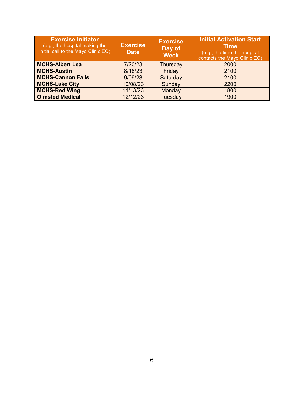| <b>Exercise Initiator</b><br>(e.g., the hospital making the<br>initial call to the Mayo Clinic EC) | <b>Exercise</b><br><b>Date</b> | <b>Exercise</b><br>Day of<br><b>Week</b> | <b>Initial Activation Start</b><br><b>Time</b><br>(e.g., the time the hospital<br>contacts the Mayo Clinic EC) |  |  |
|----------------------------------------------------------------------------------------------------|--------------------------------|------------------------------------------|----------------------------------------------------------------------------------------------------------------|--|--|
| <b>MCHS-Albert Lea</b>                                                                             | 7/20/23                        | Thursday                                 | 2000                                                                                                           |  |  |
| <b>MCHS-Austin</b>                                                                                 | 8/18/23                        | Friday                                   | 2100                                                                                                           |  |  |
| <b>MCHS-Cannon Falls</b>                                                                           | 9/09/23                        | Saturday                                 | 2100                                                                                                           |  |  |
| <b>MCHS-Lake City</b>                                                                              | 10/08/23                       | Sunday                                   | 2200                                                                                                           |  |  |
| <b>MCHS-Red Wing</b>                                                                               | 11/13/23                       | Monday                                   | 1800                                                                                                           |  |  |
| <b>Olmsted Medical</b>                                                                             | 12/12/23                       | Tuesday                                  | 1900                                                                                                           |  |  |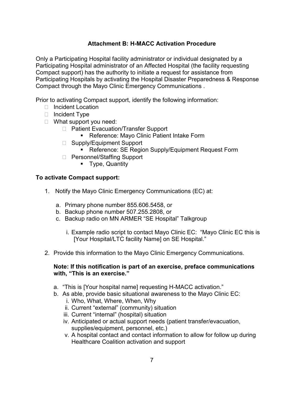#### **Attachment B: H-MACC Activation Procedure**

<span id="page-8-0"></span>Only a Participating Hospital facility administrator or individual designated by a Participating Hospital administrator of an Affected Hospital (the facility requesting Compact support) has the authority to initiate a request for assistance from Participating Hospitals by activating the Hospital Disaster Preparedness & Response Compact through the Mayo Clinic Emergency Communications .

Prior to activating Compact support, identify the following information:

- □ Incident Location
- □ Incident Type
- □ What support you need:
	- □ Patient Evacuation/Transfer Support
		- Reference: Mayo Clinic Patient Intake Form
	- □ Supply/Equipment Support
		- Reference: SE Region Supply/Equipment Request Form
	- □ Personnel/Staffing Support
		- **Type, Quantity**

#### **To activate Compact support:**

- 1. Notify the Mayo Clinic Emergency Communications (EC) at:
	- a. Primary phone number 855.606.5458, or
	- b. Backup phone number 507.255.2808, or
	- c. Backup radio on MN ARMER "SE Hospital" Talkgroup
		- i. Example radio script to contact Mayo Clinic EC: "Mayo Clinic EC this is [Your Hospital/LTC facility Name] on SE Hospital."
- 2. Provide this information to the Mayo Clinic Emergency Communications.

#### **Note: If this notification is part of an exercise, preface communications with, "This is an exercise."**

- a. "This is [Your hospital name] requesting H-MACC activation."
- b. As able, provide basic situational awareness to the Mayo Clinic EC:
	- i. Who, What, Where, When, Why
	- ii. Current "external" (community) situation
	- iii. Current "internal" (hospital) situation
	- iv. Anticipated or actual support needs (patient transfer/evacuation, supplies/equipment, personnel, etc.)
	- v. A hospital contact and contact information to allow for follow up during Healthcare Coalition activation and support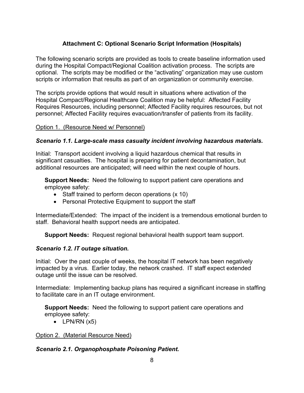# **Attachment C: Optional Scenario Script Information (Hospitals)**

<span id="page-9-0"></span>The following scenario scripts are provided as tools to create baseline information used during the Hospital Compact/Regional Coalition activation process. The scripts are optional. The scripts may be modified or the "activating" organization may use custom scripts or information that results as part of an organization or community exercise.

The scripts provide options that would result in situations where activation of the Hospital Compact/Regional Healthcare Coalition may be helpful: Affected Facility Requires Resources, including personnel; Affected Facility requires resources, but not personnel; Affected Facility requires evacuation/transfer of patients from its facility.

#### Option 1. (Resource Need w/ Personnel)

#### *Scenario 1.1. Large-scale mass casualty incident involving hazardous materials.*

Initial: Transport accident involving a liquid hazardous chemical that results in significant casualties. The hospital is preparing for patient decontamination, but additional resources are anticipated; will need within the next couple of hours.

**Support Needs:** Need the following to support patient care operations and employee safety:

- Staff trained to perform decon operations (x 10)
- Personal Protective Equipment to support the staff

Intermediate/Extended: The impact of the incident is a tremendous emotional burden to staff. Behavioral health support needs are anticipated.

**Support Needs:** Request regional behavioral health support team support.

#### *Scenario 1.2. IT outage situation.*

Initial: Over the past couple of weeks, the hospital IT network has been negatively impacted by a virus. Earlier today, the network crashed. IT staff expect extended outage until the issue can be resolved.

Intermediate: Implementing backup plans has required a significant increase in staffing to facilitate care in an IT outage environment.

**Support Needs:** Need the following to support patient care operations and employee safety:

• LPN/RN  $(x5)$ 

Option 2. (Material Resource Need)

#### *Scenario 2.1. Organophosphate Poisoning Patient.*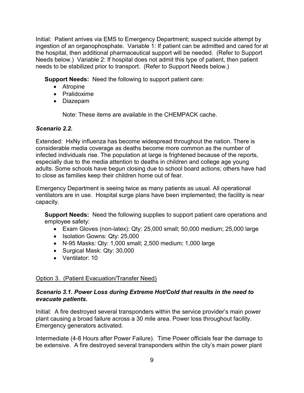Initial: Patient arrives via EMS to Emergency Department; suspect suicide attempt by ingestion of an organophosphate. Variable 1: If patient can be admitted and cared for at the hospital, then additional pharmaceutical support will be needed. (Refer to Support Needs below.) Variable 2: If hospital does not admit this type of patient, then patient needs to be stabilized prior to transport. (Refer to Support Needs below.)

**Support Needs:** Need the following to support patient care:

- Atropine
- Pralidoxime
- Diazepam

Note: These items are available in the CHEMPACK cache.

# *Scenario 2.2.*

Extended: HxNy influenza has become widespread throughout the nation. There is considerable media coverage as deaths become more common as the number of infected individuals rise. The population at large is frightened because of the reports, especially due to the media attention to deaths in children and college age young adults. Some schools have begun closing due to school board actions; others have had to close as families keep their children home out of fear.

Emergency Department is seeing twice as many patients as usual. All operational ventilators are in use. Hospital surge plans have been implemented; the facility is near capacity.

**Support Needs:** Need the following supplies to support patient care operations and employee safety:

- Exam Gloves (non-latex): Qty: 25,000 small; 50,000 medium; 25,000 large
- Isolation Gowns: Qty: 25,000
- N-95 Masks: Qty: 1,000 small; 2,500 medium; 1,000 large
- Surgical Mask: Qty: 30,000
- Ventilator: 10

#### Option 3. (Patient Evacuation/Transfer Need)

#### *Scenario 3.1. Power Loss during Extreme Hot/Cold that results in the need to evacuate patients.*

Initial: A fire destroyed several transponders within the service provider's main power plant causing a broad failure across a 30 mile area. Power loss throughout facility. Emergency generators activated.

Intermediate (4-8 Hours after Power Failure). Time Power officials fear the damage to be extensive. A fire destroyed several transponders within the city's main power plant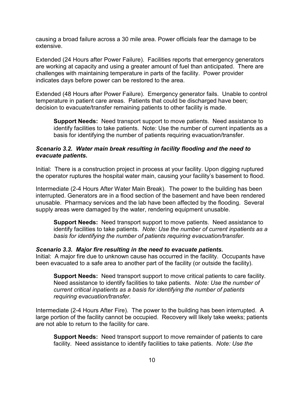causing a broad failure across a 30 mile area. Power officials fear the damage to be extensive.

Extended (24 Hours after Power Failure). Facilities reports that emergency generators are working at capacity and using a greater amount of fuel than anticipated. There are challenges with maintaining temperature in parts of the facility. Power provider indicates days before power can be restored to the area.

Extended (48 Hours after Power Failure). Emergency generator fails. Unable to control temperature in patient care areas. Patients that could be discharged have been; decision to evacuate/transfer remaining patients to other facility is made.

**Support Needs:** Need transport support to move patients. Need assistance to identify facilities to take patients. Note: Use the number of current inpatients as a basis for identifying the number of patients requiring evacuation/transfer.

#### *Scenario 3.2. Water main break resulting in facility flooding and the need to evacuate patients.*

Initial: There is a construction project in process at your facility. Upon digging ruptured the operator ruptures the hospital water main, causing your facility's basement to flood.

Intermediate (2-4 Hours After Water Main Break). The power to the building has been interrupted. Generators are in a flood section of the basement and have been rendered unusable. Pharmacy services and the lab have been affected by the flooding. Several supply areas were damaged by the water, rendering equipment unusable.

**Support Needs:** Need transport support to move patients. Need assistance to identify facilities to take patients. *Note: Use the number of current inpatients as a basis for identifying the number of patients requiring evacuation/transfer.*

#### *Scenario 3.3. Major fire resulting in the need to evacuate patients.*

Initial: A major fire due to unknown cause has occurred in the facility. Occupants have been evacuated to a safe area to another part of the facility (or outside the facility).

**Support Needs:** Need transport support to move critical patients to care facility. Need assistance to identify facilities to take patients. *Note: Use the number of current critical inpatients as a basis for identifying the number of patients requiring evacuation/transfer.*

Intermediate (2-4 Hours After Fire). The power to the building has been interrupted. A large portion of the facility cannot be occupied. Recovery will likely take weeks; patients are not able to return to the facility for care.

**Support Needs:** Need transport support to move remainder of patients to care facility. Need assistance to identify facilities to take patients. *Note: Use the*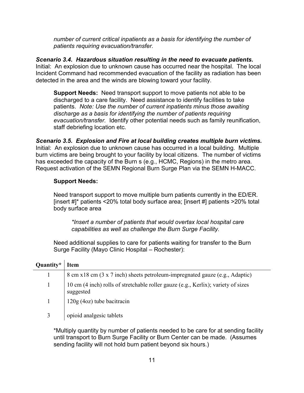*number of current critical inpatients as a basis for identifying the number of patients requiring evacuation/transfer.*

*Scenario 3.4. Hazardous situation resulting in the need to evacuate patients.* Initial: An explosion due to unknown cause has occurred near the hospital. The local Incident Command had recommended evacuation of the facility as radiation has been detected in the area and the winds are blowing toward your facility.

**Support Needs:** Need transport support to move patients not able to be discharged to a care facility. Need assistance to identify facilities to take patients. *Note: Use the number of current inpatients minus those awaiting discharge as a basis for identifying the number of patients requiring evacuation/transfer.* Identify other potential needs such as family reunification, staff debriefing location etc.

*Scenario 3.5. Explosion and Fire at local building creates multiple burn victims.* Initial: An explosion due to unknown cause has occurred in a local building. Multiple burn victims are being brought to your facility by local citizens. The number of victims has exceeded the capacity of the Burn s (e.g., HCMC, Regions) in the metro area. Request activation of the SEMN Regional Burn Surge Plan via the SEMN H-MACC.

#### **Support Needs:**

Need transport support to move multiple burn patients currently in the ED/ER. [insert #]\* patients <20% total body surface area; [insert #] patients >20% total body surface area

*\*Insert a number of patients that would overtax local hospital care capabilities as well as challenge the Burn Surge Facility.*

Need additional supplies to care for patients waiting for transfer to the Burn Surge Facility (Mayo Clinic Hospital – Rochester):

| Quantity*    | Item                                                                                           |
|--------------|------------------------------------------------------------------------------------------------|
|              | 8 cm x18 cm (3 x 7 inch) sheets petroleum-impregnated gauze (e.g., Adaptic)                    |
| $\mathbf{1}$ | 10 cm (4 inch) rolls of stretchable roller gauze (e.g., Kerlix); variety of sizes<br>suggested |
| $\mathbf{1}$ | $120g$ (4oz) tube bacitracin                                                                   |
| 3            | opioid analgesic tablets                                                                       |

\*Multiply quantity by number of patients needed to be care for at sending facility until transport to Burn Surge Facility or Burn Center can be made. (Assumes sending facility will not hold burn patient beyond six hours.)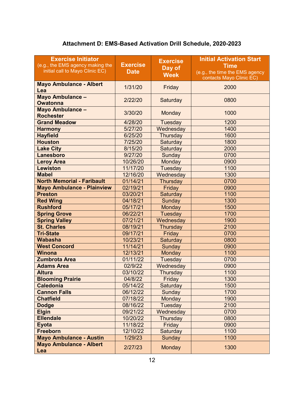# **Attachment D: EMS-Based Activation Drill Schedule, 2020-2023**

<span id="page-13-0"></span>

| <b>Exercise Initiator</b><br>(e.g., the EMS agency making the<br>initial call to Mayo Clinic EC) | <b>Exercise</b><br><b>Date</b> | <b>Exercise</b><br>Day of<br><b>Week</b> | <b>Initial Activation Start</b><br><b>Time</b><br>(e.g., the time the EMS agency<br>contacts Mayo Clinic EC) |  |
|--------------------------------------------------------------------------------------------------|--------------------------------|------------------------------------------|--------------------------------------------------------------------------------------------------------------|--|
| <b>Mayo Ambulance - Albert</b><br>Lea                                                            | 1/31/20                        | Friday                                   | 2000                                                                                                         |  |
| <b>Mayo Ambulance -</b><br><b>Owatonna</b>                                                       | 2/22/20                        | Saturday                                 | 0800                                                                                                         |  |
| <b>Mayo Ambulance -</b><br><b>Rochester</b>                                                      | 3/30/20                        | Monday                                   | 1000                                                                                                         |  |
| <b>Grand Meadow</b>                                                                              | 4/28/20                        | <b>Tuesday</b>                           | 1200                                                                                                         |  |
| <b>Harmony</b>                                                                                   | 5/27/20                        | Wednesday                                | 1400                                                                                                         |  |
| <b>Hayfield</b>                                                                                  | 6/25/20                        | Thursday                                 | 1600                                                                                                         |  |
| <b>Houston</b>                                                                                   | 7/25/20                        | Saturday                                 | 1800                                                                                                         |  |
| <b>Lake City</b>                                                                                 | 8/15/20                        | Saturday                                 | 2000                                                                                                         |  |
| Lanesboro                                                                                        | 9/27/20                        | Sunday                                   | 0700                                                                                                         |  |
| <b>Leroy Area</b>                                                                                | 10/26/20                       | <b>Monday</b>                            | 0900                                                                                                         |  |
| <b>Lewiston</b>                                                                                  | 11/17/20                       | Tuesday                                  | 1100                                                                                                         |  |
| <b>Mabel</b>                                                                                     | 12/16/20                       | Wednesday                                | 1300                                                                                                         |  |
| <b>North Memorial - Faribault</b>                                                                | 01/14/21                       | Thursday                                 | 0700                                                                                                         |  |
| <b>Mayo Ambulance - Plainview</b>                                                                | 02/19/21                       | Friday                                   | 0900                                                                                                         |  |
| <b>Preston</b>                                                                                   | 03/20/21                       | Saturday                                 | 1100                                                                                                         |  |
| <b>Red Wing</b>                                                                                  | 04/18/21                       | Sunday                                   | 1300                                                                                                         |  |
| <b>Rushford</b>                                                                                  | 05/17/21                       | <b>Monday</b>                            | 1500                                                                                                         |  |
| <b>Spring Grove</b>                                                                              | 06/22/21                       | Tuesday                                  | 1700                                                                                                         |  |
| <b>Spring Valley</b>                                                                             | 07/21/21                       | Wednesday                                | 1900                                                                                                         |  |
| <b>St. Charles</b>                                                                               | 08/19/21                       | <b>Thursday</b>                          | 2100                                                                                                         |  |
| <b>Tri-State</b>                                                                                 | 09/17/21                       | Friday                                   | 0700                                                                                                         |  |
| <b>Wabasha</b>                                                                                   | 10/23/21                       | Saturday                                 | 0800                                                                                                         |  |
| <b>West Concord</b>                                                                              | 11/14/21                       | Sunday                                   | 0900                                                                                                         |  |
| <b>Winona</b>                                                                                    | 12/13/21                       | Monday                                   | 1100                                                                                                         |  |
| <b>Zumbrota Area</b>                                                                             | 01/11/22                       | <b>Tuesday</b>                           | 0700                                                                                                         |  |
| <b>Adams Area</b>                                                                                | 02/9/22                        | Wednesday                                | 0900                                                                                                         |  |
| <b>Altura</b>                                                                                    | 03/10/22                       | Thursday                                 | 1100                                                                                                         |  |
| <b>Blooming Prairie</b>                                                                          | 04/8/22                        | Friday                                   | 1300                                                                                                         |  |
| <b>Caledonia</b>                                                                                 | 05/14/22                       | Saturday                                 | 1500                                                                                                         |  |
| <b>Cannon Falls</b><br><b>Chatfield</b>                                                          | 06/12/22                       | Sunday                                   | 1700                                                                                                         |  |
|                                                                                                  | 07/18/22                       | <b>Monday</b>                            | 1900                                                                                                         |  |
| <b>Dodge</b>                                                                                     | 08/16/22<br>09/21/22           | Tuesday<br>Wednesday                     | 2100<br>0700                                                                                                 |  |
| <b>Elgin</b><br><b>Ellendale</b>                                                                 | 10/20/22                       |                                          | 0800                                                                                                         |  |
|                                                                                                  |                                | Thursday                                 | 0900                                                                                                         |  |
| <b>Eyota</b><br><b>Freeborn</b>                                                                  | 11/18/22<br>12/10/22           | Friday<br>Saturday                       | 1100                                                                                                         |  |
| <b>Mayo Ambulance - Austin</b>                                                                   | 1/29/23                        | Sunday                                   | 1100                                                                                                         |  |
| <b>Mayo Ambulance - Albert</b>                                                                   |                                |                                          |                                                                                                              |  |
| Lea                                                                                              | 2/27/23                        | Monday                                   | 1300                                                                                                         |  |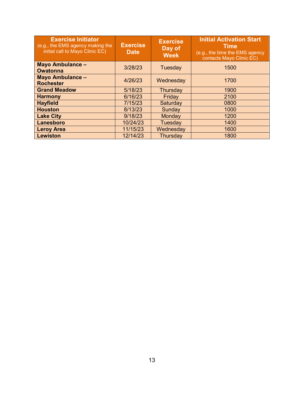| <b>Exercise Initiator</b><br>(e.g., the EMS agency making the<br>initial call to Mayo Clinic EC) | <b>Exercise</b><br><b>Date</b> | <b>Exercise</b><br>Day of<br><b>Week</b> | <b>Initial Activation Start</b><br><b>Time</b><br>(e.g., the time the EMS agency<br>contacts Mayo Clinic EC) |
|--------------------------------------------------------------------------------------------------|--------------------------------|------------------------------------------|--------------------------------------------------------------------------------------------------------------|
| <b>Mayo Ambulance -</b><br><b>Owatonna</b>                                                       | 3/28/23                        | Tuesday                                  | 1500                                                                                                         |
| <b>Mayo Ambulance -</b><br><b>Rochester</b>                                                      | 4/26/23                        | Wednesday                                | 1700                                                                                                         |
| <b>Grand Meadow</b>                                                                              | 5/18/23                        | Thursday                                 | 1900                                                                                                         |
| <b>Harmony</b>                                                                                   | 6/16/23                        | Friday                                   | 2100                                                                                                         |
| <b>Hayfield</b>                                                                                  | 7/15/23                        | Saturday                                 | 0800                                                                                                         |
| <b>Houston</b>                                                                                   | 8/13/23                        | Sunday                                   | 1000                                                                                                         |
| <b>Lake City</b>                                                                                 | 9/18/23                        | Monday                                   | 1200                                                                                                         |
| Lanesboro                                                                                        | 10/24/23                       | Tuesday                                  | 1400                                                                                                         |
| <b>Leroy Area</b>                                                                                | 11/15/23                       | Wednesday                                | 1600                                                                                                         |
| <b>Lewiston</b>                                                                                  | 12/14/23                       | Thursday                                 | 1800                                                                                                         |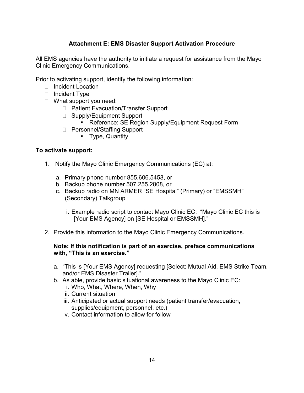# **Attachment E: EMS Disaster Support Activation Procedure**

<span id="page-15-0"></span>All EMS agencies have the authority to initiate a request for assistance from the Mayo Clinic Emergency Communications.

Prior to activating support, identify the following information:

- $\Box$  Incident Location
- □ Incident Type
- □ What support you need:
	- □ Patient Evacuation/Transfer Support
	- □ Supply/Equipment Support
		- **-** Reference: SE Region Supply/Equipment Request Form
	- □ Personnel/Staffing Support
		- **Type, Quantity**

#### **To activate support:**

- 1. Notify the Mayo Clinic Emergency Communications (EC) at:
	- a. Primary phone number 855.606.5458, or
	- b. Backup phone number 507.255.2808, or
	- c. Backup radio on MN ARMER "SE Hospital" (Primary) or "EMSSMH" (Secondary) Talkgroup
		- i. Example radio script to contact Mayo Clinic EC: "Mayo Clinic EC this is [Your EMS Agency] on [SE Hospital or EMSSMH]."
- 2. Provide this information to the Mayo Clinic Emergency Communications.

#### **Note: If this notification is part of an exercise, preface communications with, "This is an exercise."**

- a. "This is [Your EMS Agency] requesting [Select: Mutual Aid, EMS Strike Team, and/or EMS Disaster Trailer]."
- b. As able, provide basic situational awareness to the Mayo Clinic EC:
	- i. Who, What, Where, When, Why
	- ii. Current situation
	- iii. Anticipated or actual support needs (patient transfer/evacuation, supplies/equipment, personnel, etc.)
	- iv. Contact information to allow for follow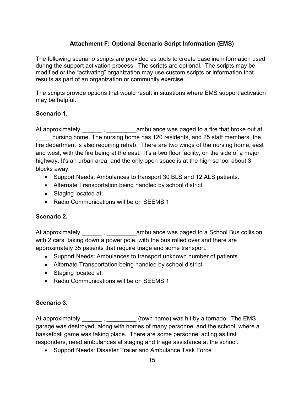# **Attachment F: Optional Scenario Script Information (EMS)**

<span id="page-16-0"></span>The following scenario scripts are provided as tools to create baseline information used during the support activation process. The scripts are optional. The scripts may be modified or the "activating" organization may use custom scripts or information that results as part of an organization or community exercise.

The scripts provide options that would result in situations where EMS support activation may be helpful.

#### **Scenario 1.**

At approximately \_\_\_\_\_\_\_\_, \_\_\_\_\_\_\_\_\_\_\_\_\_\_ambulance was paged to a fire that broke out at nursing home. The nursing home has 120 residents, and 25 staff members, the fire department is also requiring rehab. There are two wings of the nursing home, east and west, with the fire being at the east. It's a two floor facility, on the side of a major highway. It's an urban area, and the only open space is at the high school about 3 blocks away.

- Support Needs: Ambulances to transport 30 BLS and 12 ALS patients.
- Alternate Transportation being handled by school district
- Staging located at:
- Radio Communications will be on SEEMS 1

#### **Scenario 2.**

At approximately \_\_\_\_\_\_\_\_, \_\_\_\_\_\_\_\_\_\_\_\_\_\_ambulance was paged to a School Bus collision with 2 cars, taking down a power pole, with the bus rolled over and there are approximately 35 patients that require triage and some transport.

- Support Needs: Ambulances to transport unknown number of patients.
- Alternate Transportation being handled by school district
- Staging located at:
- Radio Communications will be on SEEMS 1

#### **Scenario 3.**

At approximately \_\_\_\_\_\_\_ , \_\_\_\_\_ (town name) was hit by a tornado. The EMS garage was destroyed, along with homes of many personnel and the school, where a basketball game was taking place. There are some personnel acting as first responders, need ambulances at staging and triage assistance at the school.

• Support Needs: Disaster Trailer and Ambulance Task Force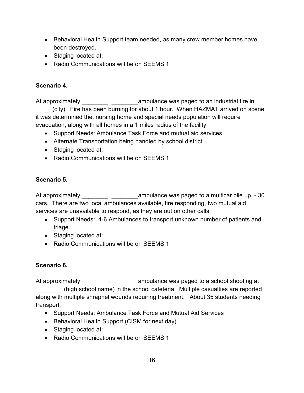- Behavioral Health Support team needed, as many crew member homes have been destroyed.
- Staging located at:
- Radio Communications will be on SEEMS 1

# **Scenario 4.**

At approximately \_\_\_\_\_\_\_, \_\_\_\_\_\_\_\_\_\_\_\_\_ambulance was paged to an industrial fire in (city). Fire has been burning for about 1 hour. When HAZMAT arrived on scene it was determined the, nursing home and special needs population will require evacuation, along with all homes in a 1 miles radius of the facility.

- Support Needs: Ambulance Task Force and mutual aid services
- Alternate Transportation being handled by school district
- Staging located at:
- Radio Communications will be on SEEMS 1

# **Scenario 5.**

At approximately \_\_\_\_\_\_\_\_, \_\_\_\_\_\_\_\_ambulance was paged to a multicar pile up - 30 cars. There are two local ambulances available, fire responding, two mutual aid services are unavailable to respond, as they are out on other calls.

- Support Needs: 4-6 Ambulances to transport unknown number of patients and triage.
- Staging located at:
- Radio Communications will be on SEEMS 1

# **Scenario 6.**

At approximately \_\_\_\_\_\_\_\_, \_\_\_\_\_\_\_\_ambulance was paged to a school shooting at \_\_\_\_\_\_\_\_ (high school name) in the school cafeteria. Multiple casualties are reported along with multiple shrapnel wounds requiring treatment. About 35 students needing transport.

- Support Needs: Ambulance Task Force and Mutual Aid Services
- Behavioral Health Support (CISM for next day)
- Staging located at:
- Radio Communications will be on SEEMS 1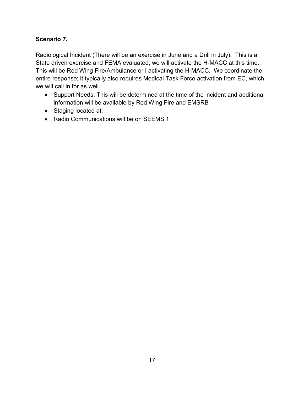# **Scenario 7.**

Radiological Incident (There will be an exercise in June and a Drill in July). This is a State driven exercise and FEMA evaluated, we will activate the H-MACC at this time. This will be Red Wing Fire/Ambulance or I activating the H-MACC. We coordinate the entire response; it typically also requires Medical Task Force activation from EC, which we will call in for as well.

- Support Needs: This will be determined at the time of the incident and additional information will be available by Red Wing Fire and EMSRB
- Staging located at:
- Radio Communications will be on SEEMS 1